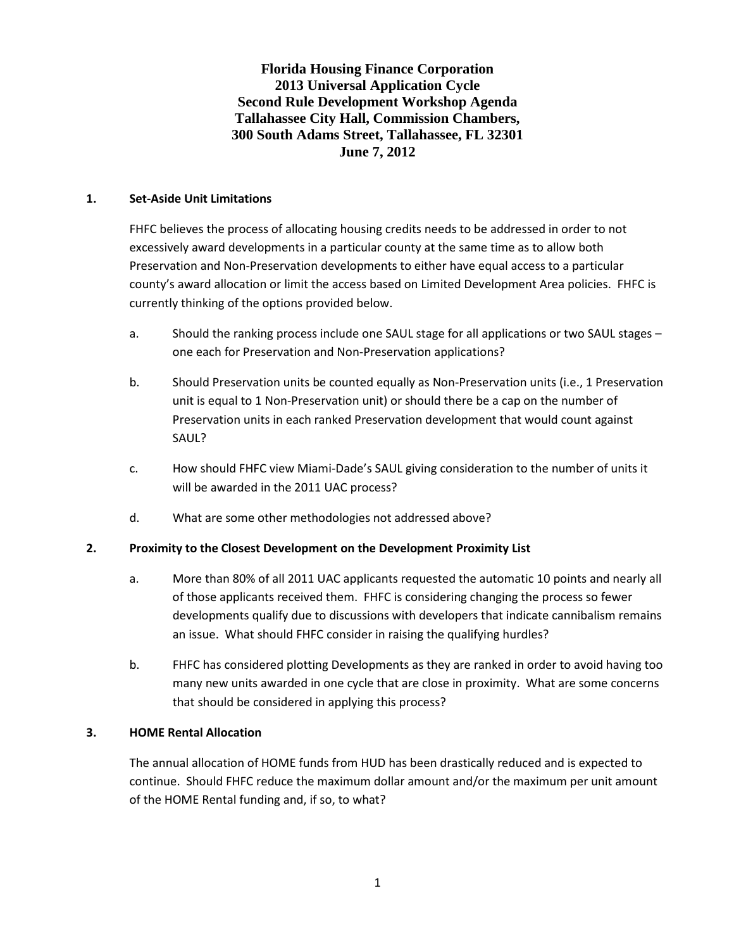**Florida Housing Finance Corporation 2013 Universal Application Cycle Second Rule Development Workshop Agenda Tallahassee City Hall, Commission Chambers, 300 South Adams Street, Tallahassee, FL 32301 June 7, 2012**

#### **1. Set-Aside Unit Limitations**

FHFC believes the process of allocating housing credits needs to be addressed in order to not excessively award developments in a particular county at the same time as to allow both Preservation and Non-Preservation developments to either have equal access to a particular county's award allocation or limit the access based on Limited Development Area policies. FHFC is currently thinking of the options provided below.

- a. Should the ranking process include one SAUL stage for all applications or two SAUL stages one each for Preservation and Non-Preservation applications?
- b. Should Preservation units be counted equally as Non-Preservation units (i.e., 1 Preservation unit is equal to 1 Non-Preservation unit) or should there be a cap on the number of Preservation units in each ranked Preservation development that would count against SAUL?
- c. How should FHFC view Miami-Dade's SAUL giving consideration to the number of units it will be awarded in the 2011 UAC process?
- d. What are some other methodologies not addressed above?

### **2. Proximity to the Closest Development on the Development Proximity List**

- a. More than 80% of all 2011 UAC applicants requested the automatic 10 points and nearly all of those applicants received them. FHFC is considering changing the process so fewer developments qualify due to discussions with developers that indicate cannibalism remains an issue. What should FHFC consider in raising the qualifying hurdles?
- b. FHFC has considered plotting Developments as they are ranked in order to avoid having too many new units awarded in one cycle that are close in proximity. What are some concerns that should be considered in applying this process?

### **3. HOME Rental Allocation**

The annual allocation of HOME funds from HUD has been drastically reduced and is expected to continue. Should FHFC reduce the maximum dollar amount and/or the maximum per unit amount of the HOME Rental funding and, if so, to what?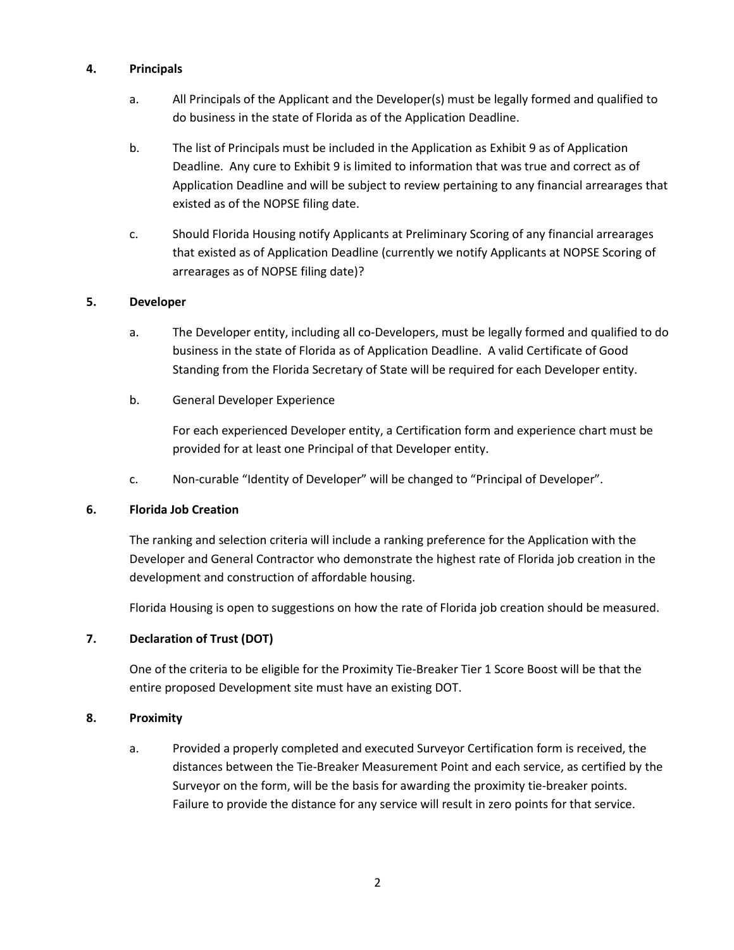## **4. Principals**

- a. All Principals of the Applicant and the Developer(s) must be legally formed and qualified to do business in the state of Florida as of the Application Deadline.
- b. The list of Principals must be included in the Application as Exhibit 9 as of Application Deadline. Any cure to Exhibit 9 is limited to information that was true and correct as of Application Deadline and will be subject to review pertaining to any financial arrearages that existed as of the NOPSE filing date.
- c. Should Florida Housing notify Applicants at Preliminary Scoring of any financial arrearages that existed as of Application Deadline (currently we notify Applicants at NOPSE Scoring of arrearages as of NOPSE filing date)?

## **5. Developer**

- a. The Developer entity, including all co-Developers, must be legally formed and qualified to do business in the state of Florida as of Application Deadline. A valid Certificate of Good Standing from the Florida Secretary of State will be required for each Developer entity.
- b. General Developer Experience

For each experienced Developer entity, a Certification form and experience chart must be provided for at least one Principal of that Developer entity.

c. Non-curable "Identity of Developer" will be changed to "Principal of Developer".

### **6. Florida Job Creation**

The ranking and selection criteria will include a ranking preference for the Application with the Developer and General Contractor who demonstrate the highest rate of Florida job creation in the development and construction of affordable housing.

Florida Housing is open to suggestions on how the rate of Florida job creation should be measured.

# **7. Declaration of Trust (DOT)**

One of the criteria to be eligible for the Proximity Tie-Breaker Tier 1 Score Boost will be that the entire proposed Development site must have an existing DOT.

### **8. Proximity**

a. Provided a properly completed and executed Surveyor Certification form is received, the distances between the Tie-Breaker Measurement Point and each service, as certified by the Surveyor on the form, will be the basis for awarding the proximity tie-breaker points. Failure to provide the distance for any service will result in zero points for that service.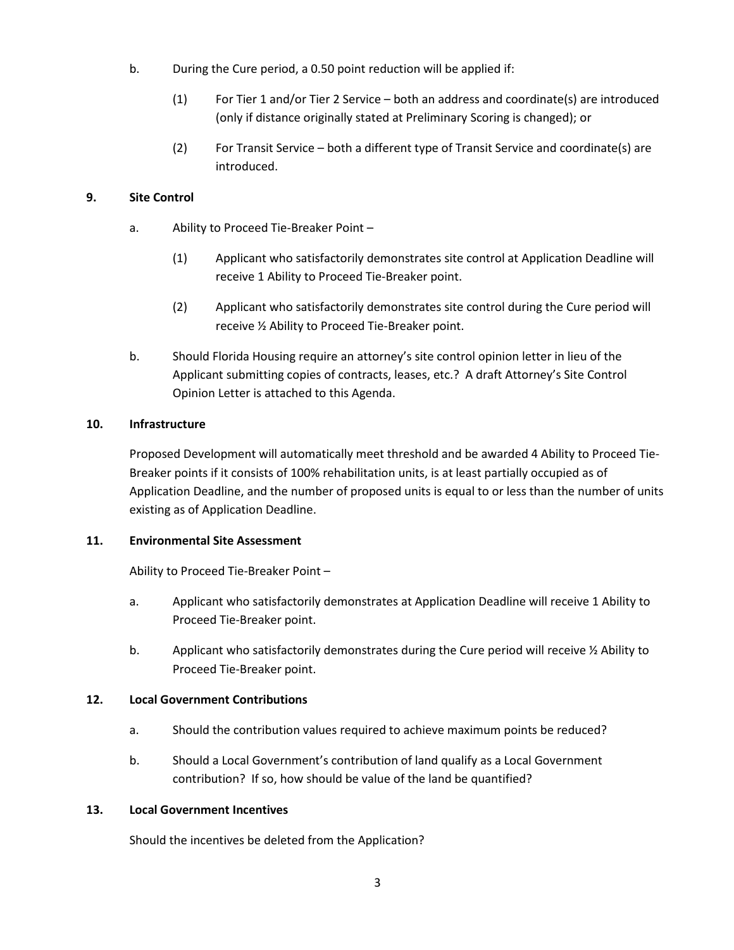- b. During the Cure period, a 0.50 point reduction will be applied if:
	- (1) For Tier 1 and/or Tier 2 Service both an address and coordinate(s) are introduced (only if distance originally stated at Preliminary Scoring is changed); or
	- (2) For Transit Service both a different type of Transit Service and coordinate(s) are introduced.

## **9. Site Control**

- a. Ability to Proceed Tie-Breaker Point
	- (1) Applicant who satisfactorily demonstrates site control at Application Deadline will receive 1 Ability to Proceed Tie-Breaker point.
	- (2) Applicant who satisfactorily demonstrates site control during the Cure period will receive ½ Ability to Proceed Tie-Breaker point.
- b. Should Florida Housing require an attorney's site control opinion letter in lieu of the Applicant submitting copies of contracts, leases, etc.? A draft Attorney's Site Control Opinion Letter is attached to this Agenda.

### **10. Infrastructure**

Proposed Development will automatically meet threshold and be awarded 4 Ability to Proceed Tie-Breaker points if it consists of 100% rehabilitation units, is at least partially occupied as of Application Deadline, and the number of proposed units is equal to or less than the number of units existing as of Application Deadline.

### **11. Environmental Site Assessment**

Ability to Proceed Tie-Breaker Point –

- a. Applicant who satisfactorily demonstrates at Application Deadline will receive 1 Ability to Proceed Tie-Breaker point.
- b. Applicant who satisfactorily demonstrates during the Cure period will receive  $\frac{1}{2}$  Ability to Proceed Tie-Breaker point.

### **12. Local Government Contributions**

- a. Should the contribution values required to achieve maximum points be reduced?
- b. Should a Local Government's contribution of land qualify as a Local Government contribution? If so, how should be value of the land be quantified?

### **13. Local Government Incentives**

Should the incentives be deleted from the Application?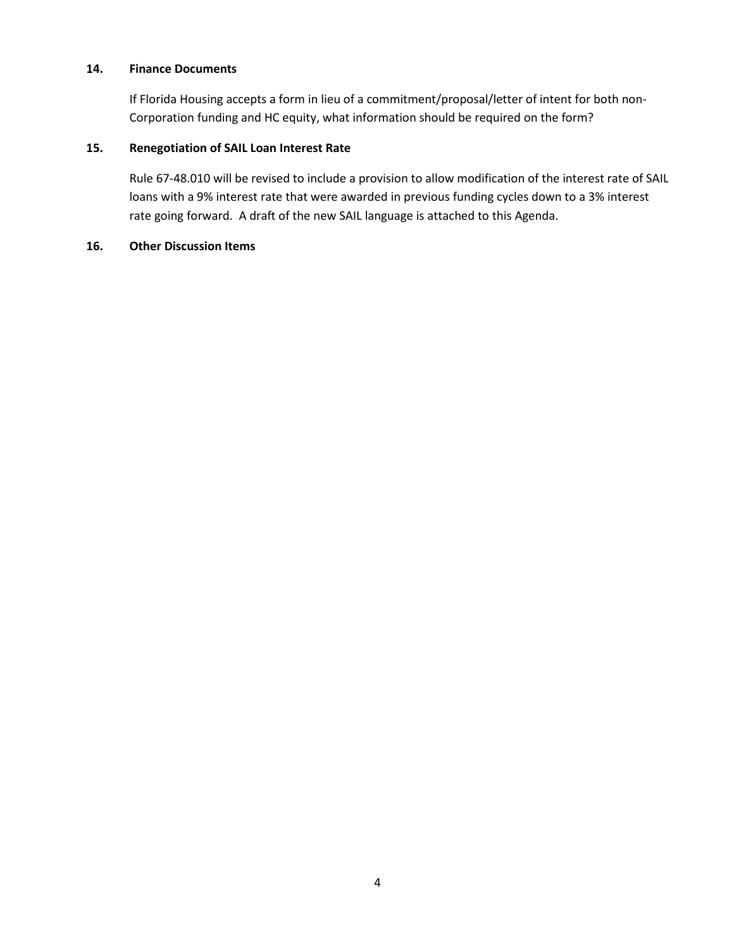### **14. Finance Documents**

If Florida Housing accepts a form in lieu of a commitment/proposal/letter of intent for both non-Corporation funding and HC equity, what information should be required on the form?

#### **15. Renegotiation of SAIL Loan Interest Rate**

Rule 67-48.010 will be revised to include a provision to allow modification of the interest rate of SAIL loans with a 9% interest rate that were awarded in previous funding cycles down to a 3% interest rate going forward. A draft of the new SAIL language is attached to this Agenda.

#### **16. Other Discussion Items**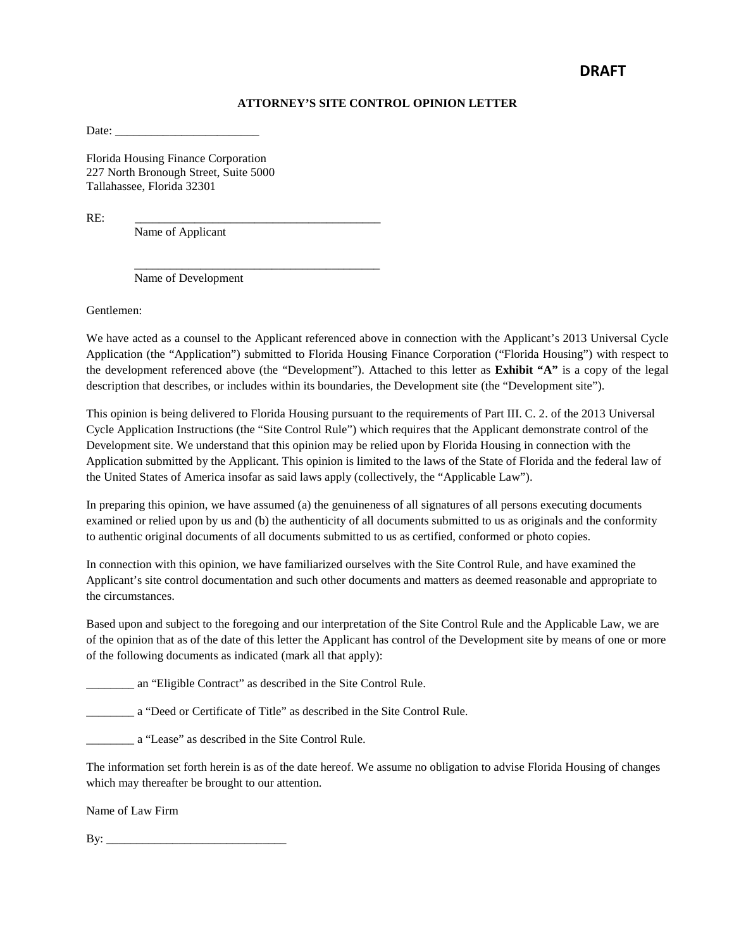#### **ATTORNEY'S SITE CONTROL OPINION LETTER**

Date:

Florida Housing Finance Corporation 227 North Bronough Street, Suite 5000 Tallahassee, Florida 32301

RE: \_\_\_\_\_\_\_\_\_\_\_\_\_\_\_\_\_\_\_\_\_\_\_\_\_\_\_\_\_\_\_\_\_\_\_\_\_\_\_\_\_

Name of Applicant

 \_\_\_\_\_\_\_\_\_\_\_\_\_\_\_\_\_\_\_\_\_\_\_\_\_\_\_\_\_\_\_\_\_\_\_\_\_\_\_\_\_ Name of Development

Gentlemen:

We have acted as a counsel to the Applicant referenced above in connection with the Applicant's 2013 Universal Cycle Application (the "Application") submitted to Florida Housing Finance Corporation ("Florida Housing") with respect to the development referenced above (the "Development"). Attached to this letter as **Exhibit "A"** is a copy of the legal description that describes, or includes within its boundaries, the Development site (the "Development site").

This opinion is being delivered to Florida Housing pursuant to the requirements of Part III. C. 2. of the 2013 Universal Cycle Application Instructions (the "Site Control Rule") which requires that the Applicant demonstrate control of the Development site. We understand that this opinion may be relied upon by Florida Housing in connection with the Application submitted by the Applicant. This opinion is limited to the laws of the State of Florida and the federal law of the United States of America insofar as said laws apply (collectively, the "Applicable Law").

In preparing this opinion, we have assumed (a) the genuineness of all signatures of all persons executing documents examined or relied upon by us and (b) the authenticity of all documents submitted to us as originals and the conformity to authentic original documents of all documents submitted to us as certified, conformed or photo copies.

In connection with this opinion, we have familiarized ourselves with the Site Control Rule, and have examined the Applicant's site control documentation and such other documents and matters as deemed reasonable and appropriate to the circumstances.

Based upon and subject to the foregoing and our interpretation of the Site Control Rule and the Applicable Law, we are of the opinion that as of the date of this letter the Applicant has control of the Development site by means of one or more of the following documents as indicated (mark all that apply):

\_\_\_\_\_\_\_\_ an "Eligible Contract" as described in the Site Control Rule.

\_\_\_\_\_\_\_\_ a "Deed or Certificate of Title" as described in the Site Control Rule.

\_\_\_\_\_\_\_\_ a "Lease" as described in the Site Control Rule.

The information set forth herein is as of the date hereof. We assume no obligation to advise Florida Housing of changes which may thereafter be brought to our attention.

Name of Law Firm

By:  $\Box$